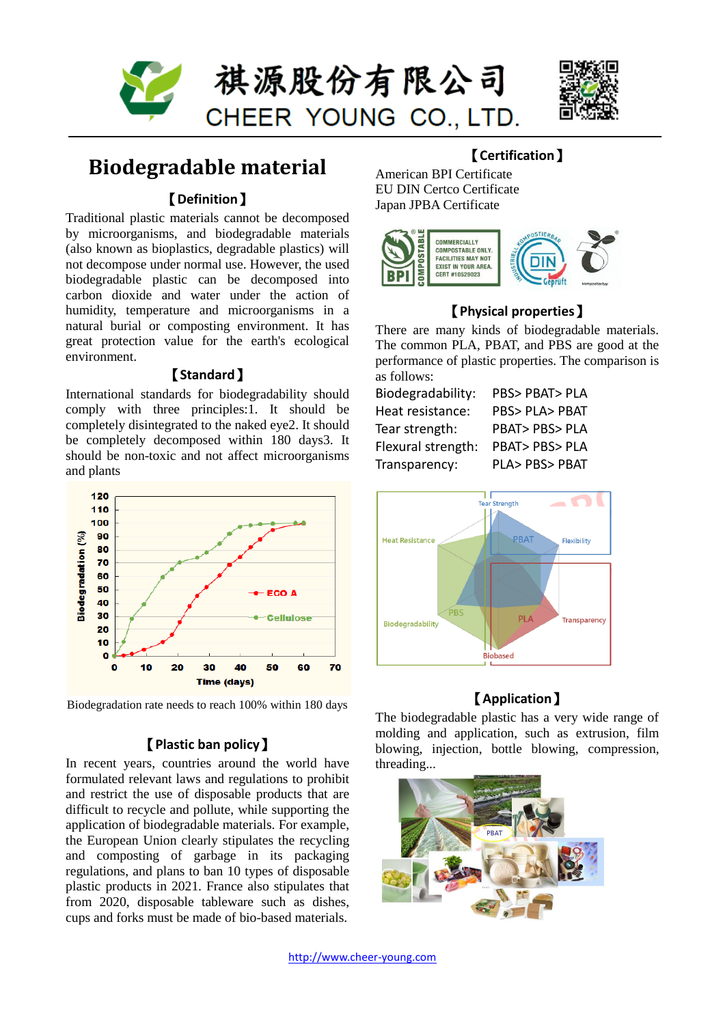



# **Biodegradable material**

### 【**Definition**】

Traditional plastic materials cannot be decomposed by microorganisms, and biodegradable materials (also known as bioplastics, degradable plastics) will not decompose under normal use. However, the used biodegradable plastic can be decomposed into carbon dioxide and water under the action of humidity, temperature and microorganisms in a natural burial or composting environment. It has great protection value for the earth's ecological environment.

### 【**Standard**】

International standards for biodegradability should comply with three principles:1. It should be completely disintegrated to the naked eye2. It should be completely decomposed within 180 days3. It should be non-toxic and not affect microorganisms and plants



Biodegradation rate needs to reach 100% within 180 days

### 【**Plastic ban policy**】

In recent years, countries around the world have formulated relevant laws and regulations to prohibit and restrict the use of disposable products that are difficult to recycle and pollute, while supporting the application of biodegradable materials. For example, the European Union clearly stipulates the recycling and composting of garbage in its packaging regulations, and plans to ban 10 types of disposable plastic products in 2021. France also stipulates that from 2020, disposable tableware such as dishes, cups and forks must be made of bio-based materials.

## 【**Certification**】

American BPI Certificate EU DIN Certco Certificate Japan JPBA Certificate



### 【**Physical properties**】

There are many kinds of biodegradable materials. The common PLA, PBAT, and PBS are good at the performance of plastic properties. The comparison is as follows:

| Biodegradability:  | PBS> PBAT> PLA              |
|--------------------|-----------------------------|
| Heat resistance:   | <b>PBS&gt; PLA&gt; PBAT</b> |
| Tear strength:     | <b>PBAT&gt;PBS&gt;PLA</b>   |
| Flexural strength: | <b>PBAT&gt; PBS&gt; PLA</b> |
| Transparency:      | PLA> PBS> PBAT              |



### 【**Application**】

The biodegradable plastic has a very wide range of molding and application, such as extrusion, film blowing, injection, bottle blowing, compression, threading...